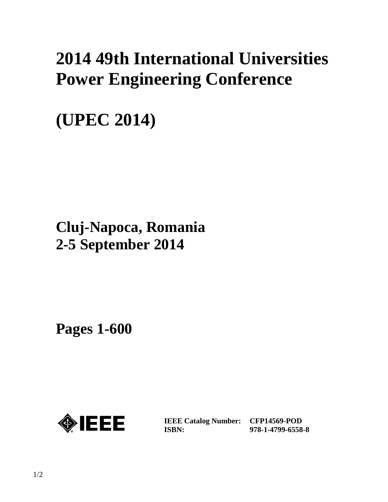# **2014 49th International Universities Power Engineering Conference**

**(UPEC 2014)**

## **Cluj-Napoca, Romania 2-5 September 2014**

**Pages 1-600** 



**IEEE Catalog Number: CFP14569-POD ISBN:** 

**978-1-4799-6558-8**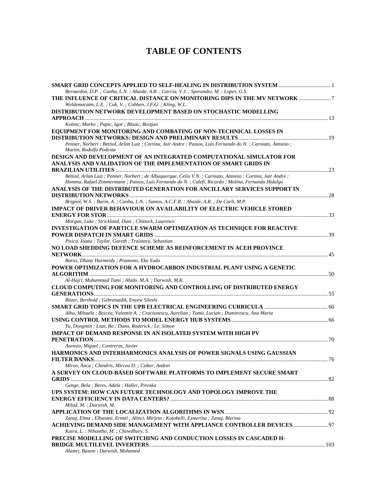### **TABLE OF CONTENTS**

| <b>SMART GRID CONCEPTS APPLIED TO SELF-HEALING IN DISTRIBUTION SYSTEM </b> 1<br>Bernardon, D.P.; Canha, L.N.; Abaide, A.R.; Garcia, V.J.; Sperandio, M.; Lopes, G.S. |  |
|----------------------------------------------------------------------------------------------------------------------------------------------------------------------|--|
|                                                                                                                                                                      |  |
| THE INFLUENCE OF CRITICAL DISTANCE ON MONITORING DIPS IN THE MV NETWORK                                                                                              |  |
| Weldemariam, L.E.; Cuk, V.; Cobben, J.F.G.; Kling, W.L.                                                                                                              |  |
| DISTRIBUTION NETWORK DEVELOPMENT BASED ON STOCHASTIC MODELLING                                                                                                       |  |
|                                                                                                                                                                      |  |
| Kolenc, Marko ; Papic, Igor ; Blazic, Bostjan                                                                                                                        |  |
| EQUIPMENT FOR MONITORING AND COMBATING OF NON-TECHNICAL LOSSES IN                                                                                                    |  |
|                                                                                                                                                                      |  |
| Penner, Norbert ; Bettiol, Arlan Luiz ; Cortina, Jair Andre ; Passos, Luis Fernando do N. ; Carniato, Antonio ;                                                      |  |
| Martin, Rodolfo Podesta                                                                                                                                              |  |
| DESIGN AND DEVELOPMENT OF AN INTEGRATED COMPUTATIONAL SIMULATOR FOR                                                                                                  |  |
| ANALYSIS AND VALIDATION OF THE IMPLEMENTATION OF SMART GRIDS IN                                                                                                      |  |
|                                                                                                                                                                      |  |
| Bettiol, Arlan Luiz; Penner, Norbert; de Albuquerque, Celio V.N.; Carniato, Antonio; Cortina, Jair Andre;                                                            |  |
| Homma, Rafael Zimmermann ; Passos, Luis Fernando do N. ; Calefi, Ricardo ; Molina, Fernando Hidalgo                                                                  |  |
| ANALYSIS OF THE DISTRIBUTED GENERATION FOR ANCILLARY SERVICES SUPPORT IN                                                                                             |  |
|                                                                                                                                                                      |  |
| Brignol, W.S.; Barin, A.; Canha, L.N.; Santos, A.C.F.R.; Abaide, A.R.; De Carli, M.P.                                                                                |  |
| <b>IMPACT OF DRIVER BEHAVIOUR ON AVAILABILITY OF ELECTRIC VEHICLE STORED</b>                                                                                         |  |
|                                                                                                                                                                      |  |
| Morgan, Luke; Strickland, Dani; Chittock, Laurence                                                                                                                   |  |
| <b>INVESTIGATION OF PARTICLE SWARM OPTIMIZATION AS TECHNIQUE FOR REACTIVE</b>                                                                                        |  |
|                                                                                                                                                                      |  |
| Pisica, Ioana; Taylor, Gareth; Traistaru, Sebastian                                                                                                                  |  |
| NO LOAD SHEDDING DEFENCE SCHEME AS REINFORCEMENT IN ACEH PROVINCE                                                                                                    |  |
|                                                                                                                                                                      |  |
| Barus, Dhany Harmeidy; Pramono, Eko Yudo                                                                                                                             |  |
| POWER OPTIMIZATION FOR A HYDROCARBON INDUSTRIAL PLANT USING A GENETIC                                                                                                |  |
|                                                                                                                                                                      |  |
| Al-Hajri, Muhammad Tami; Abido, M.A.; Darwish, M.K.                                                                                                                  |  |
| CLOUD COMPUTING FOR MONITORING AND CONTROLLING OF DISTRIBUTED ENERGY                                                                                                 |  |
|                                                                                                                                                                      |  |
| Bitzer, Berthold ; Gebretsadik, Enyew Sileshi                                                                                                                        |  |
|                                                                                                                                                                      |  |
| Albu, Mihaela ; Boicea, Valentin A. ; Craciunescu, Aurelian ; Toma, Lucian ; Dumitrescu, Ana Maria                                                                   |  |
|                                                                                                                                                                      |  |
| Yu, Dongmin; Lian, Bo; Dunn, Roderick; Le, Simon                                                                                                                     |  |
| IMPACT OF DEMAND RESPONSE IN AN ISOLATED SYSTEM WITH HIGH PV                                                                                                         |  |
|                                                                                                                                                                      |  |
| Asensio, Miguel; Contreras, Javier                                                                                                                                   |  |
| HARMONICS AND INTERHARMONICS ANALYSIS OF POWER SIGNALS USING GAUSSIAN                                                                                                |  |
|                                                                                                                                                                      |  |
| Miron, Anca; Chindris, Mircea D.; Cziker, Andrei                                                                                                                     |  |
| A SURVEY ON CLOUD-BASED SOFTWARE PLATFORMS TO IMPLEMENT SECURE SMART                                                                                                 |  |
|                                                                                                                                                                      |  |
| Genge, Bela ; Beres, Adela ; Haller, Piroska                                                                                                                         |  |
| UPS SYSTEM: HOW CAN FUTURE TECHNOLOGY AND TOPOLOGY IMPROVE THE                                                                                                       |  |
|                                                                                                                                                                      |  |
| Milad, M.; Darwish, M.                                                                                                                                               |  |
|                                                                                                                                                                      |  |
| Zanaj, Elma ; Elbasani, Ermal ; Alinci, Mirjeta ; Kotobelli, Ezmerina ; Zanaj, Blerina                                                                               |  |
| ACHIEVING DEMAND SIDE MANAGEMENT WITH APPLIANCE CONTROLLER DEVICES                                                                                                   |  |
| Kaira, L.; Nthontho, M.; Chowdhury, S.                                                                                                                               |  |
| PRECISE MODELLING OF SWITCHING AND CONDUCTION LOSSES IN CASCADED H-                                                                                                  |  |
|                                                                                                                                                                      |  |
| Alamri, Basem; Darwish, Mohamed                                                                                                                                      |  |
|                                                                                                                                                                      |  |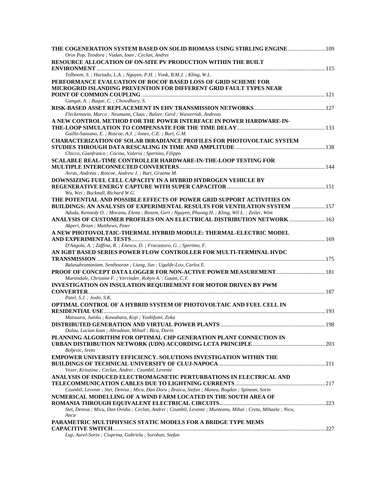| THE COGENERATION SYSTEM BASED ON SOLID BIOMASS USING STIRLING ENGINE 109                                       |  |
|----------------------------------------------------------------------------------------------------------------|--|
| Oros Pop, Teodora ; Vadan, Ioan ; Ceclan, Andrei                                                               |  |
| RESOURCE ALLOCATION OF ON-SITE PV PRODUCTION WITHIN THE BUILT                                                  |  |
| Tolboom, S.; Hurtado, L.A.; Nguyen, P.H.; Vonk, B.M.J.; Kling, W.L.                                            |  |
|                                                                                                                |  |
| PERFORMANCE EVALUATION OF ROCOF BASED LOSS OF GRID SCHEME FOR                                                  |  |
| MICROGRID ISLANDING PREVENTION FOR DIFFERENT GRID FAULT TYPES NEAR                                             |  |
|                                                                                                                |  |
| Gangat, A.; Buque, C.; Chowdhury, S.                                                                           |  |
|                                                                                                                |  |
| Fleckenstein, Marco; Neumann, Claus; Balzer, Gerd; Wasserrab, Andreas                                          |  |
| A NEW CONTROL METHOD FOR THE POWER INTERFACE IN POWER HARDWARE-IN-                                             |  |
|                                                                                                                |  |
| Guillo-Sansano, E.; Roscoe, A.J.; Jones, C.E.; Burt, G.M.                                                      |  |
| <b>CHARACTERIZATION OF SOLAR IRRADIANCE PROFILES FOR PHOTOVOLTAIC SYSTEM</b>                                   |  |
|                                                                                                                |  |
| Chicco, Gianfranco; Cocina, Valeria; Spertino, Filippo                                                         |  |
| <b>SCALABLE REAL-TIME CONTROLLER HARDWARE-IN-THE-LOOP TESTING FOR</b>                                          |  |
|                                                                                                                |  |
| Avras, Andreas; Roscoe, Andrew J.; Burt, Graeme M.                                                             |  |
| DOWNSIZING FUEL CELL CAPACITY IN A HYBRID HYDROGEN VEHICLE BY                                                  |  |
|                                                                                                                |  |
| Wu, Wei ; Bucknall, Richard W.G.                                                                               |  |
|                                                                                                                |  |
| THE POTENTIAL AND POSSIBLE EFFECTS OF POWER GRID SUPPORT ACTIVITIES ON                                         |  |
| BUILDINGS: AN ANALYSIS OF EXPERIMENTAL RESULTS FOR VENTILATION SYSTEM  157                                     |  |
| Aduda, Kennedy O.; Mocanu, Elena; Boxem, Gert; Nguyen, Phuong H.; Kling, Wil L.; Zeiler, Wim                   |  |
| ANALYSIS OF CUSTOMER PROFILES ON AN ELECTRICAL DISTRIBUTION NETWORK 163                                        |  |
| Akperi, Brian; Matthews, Peter                                                                                 |  |
| A NEW PHOTOVOLTAIC-THERMAL HYBRID MODULE: THERMAL-ELECTRIC MODEL                                               |  |
|                                                                                                                |  |
| D'Angola, A.; Zaffina, R.; Enescu, D.; Fracastoro, G.; Spertino, F.                                            |  |
| AN IGBT BASED SERIES POWER FLOW CONTROLLER FOR MULTI-TERMINAL HVDC                                             |  |
|                                                                                                                |  |
| Balasubramaniam, Senthooran ; Liang, Jun ; Ugalde-Loo, Carlos E.                                               |  |
| PROOF OF CONCEPT DATA LOGGER FOR NON-ACTIVE POWER MEASUREMENT 181                                              |  |
| Martindale, Christine F.; Verrinder, Robyn A.; Gaunt, C.T.                                                     |  |
| INVESTIGATION ON INSULATION REQUIREMENT FOR MOTOR DRIVEN BY PWM                                                |  |
|                                                                                                                |  |
|                                                                                                                |  |
| Patel, S.J.; Joshi, S.K.                                                                                       |  |
| OPTIMAL CONTROL OF A HYBRID SYSTEM OF PHOTOVOLTAIC AND FUEL CELL IN                                            |  |
|                                                                                                                |  |
| Matsuura, Juniku; Kawahara, Koji; Yoshifumi, Zoka                                                              |  |
|                                                                                                                |  |
| Dulau, Lucian Ioan ; Abrudean, Mihail ; Bica, Dorin                                                            |  |
| PLANNING ALGORITHM FOR OPTIMAL CHP GENERATION PLANT CONNECTION IN                                              |  |
|                                                                                                                |  |
| Boljevic, Sreto                                                                                                |  |
| <b>EMPOWER UNIVERSITY EFFICIENCY. SOLUTIONS INVESTIGATION WITHIN THE</b>                                       |  |
|                                                                                                                |  |
| Vezer, Krisztina ; Ceclan, Andrei ; Czumbil, Levente                                                           |  |
| ANALYSIS OF INDUCED ELECTROMAGNETIC PERTURBATIONS IN ELECTRICAL AND                                            |  |
|                                                                                                                |  |
| Czumbil, Levente ; Stet, Denisa ; Micu, Dan Doru ; Braicu, Stefan ; Manea, Bogdan ; Spinean, Sorin             |  |
|                                                                                                                |  |
| NUMERICAL MODELLING OF A WIND FARM LOCATED IN THE SOUTH AREA OF                                                |  |
|                                                                                                                |  |
| Stet, Denisa ; Micu, Dan Ovidiu ; Ceclan, Andrei ; Czumbil, Levente ; Munteanu, Mihai ; Cretu, Mihaela ; Nicu, |  |
| Anca                                                                                                           |  |
| PARAMETRIC MULTIPHYSICS STATIC MODELS FOR A BRIDGE TYPE MEMS                                                   |  |
|                                                                                                                |  |
| Lup, Aurel-Sorin; Ciuprina, Gabriela; Sorohan, Stefan                                                          |  |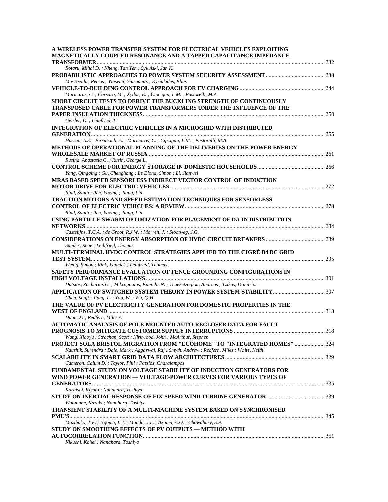| A WIRELESS POWER TRANSFER SYSTEM FOR ELECTRICAL VEHICLES EXPLOITING                            |  |
|------------------------------------------------------------------------------------------------|--|
| MAGNETICALLY COUPLED RESONANCE AND A TAPPED CAPACITANCE IMPEDANCE                              |  |
|                                                                                                |  |
| Rotaru, Mihai D.; Kheng, Tan Yen; Sykulski, Jan K.                                             |  |
|                                                                                                |  |
| Mavroeidis, Petros ; Yiasemi, Yiasoumis ; Kyriakides, Elias                                    |  |
|                                                                                                |  |
| Marmaras, C.; Corsaro, M.; Xydas, E.; Cipcigan, L.M.; Pastorelli, M.A.                         |  |
| <b>SHORT CIRCUIT TESTS TO DERIVE THE BUCKLING STRENGTH OF CONTINUOUSLY</b>                     |  |
| TRANSPOSED CABLE FOR POWER TRANSFORMERS UNDER THE INFLUENCE OF THE                             |  |
|                                                                                                |  |
| Geisler, D. ; Leibfried, T.                                                                    |  |
| <b>INTEGRATION OF ELECTRIC VEHICLES IN A MICROGRID WITH DISTRIBUTED</b>                        |  |
|                                                                                                |  |
| Hassan, A.S. ; Firrincieli, A. ; Marmaras, C. ; Cipcigan, L.M. ; Pastorelli, M.A.              |  |
| METHODS OF OPERATIONAL PLANNING OF THE DELIVERIES ON THE POWER ENERGY                          |  |
|                                                                                                |  |
| Rusina, Anastasia G. ; Rusin, George L.                                                        |  |
|                                                                                                |  |
| Yang, Qingqing; Gu, Chenghong; Le Blond, Simon; Li, Jianwei                                    |  |
| MRAS BASED SPEED SENSORLESS INDIRECT VECTOR CONTROL OF INDUCTION                               |  |
|                                                                                                |  |
| Rind, Saqib; Ren, Yaxing; Jiang, Lin                                                           |  |
| TRACTION MOTORS AND SPEED ESTIMATION TECHNIQUES FOR SENSORLESS                                 |  |
|                                                                                                |  |
| Rind, Saqib; Ren, Yaxing; Jiang, Lin                                                           |  |
| USING PARTICLE SWARM OPTIMIZATION FOR PLACEMENT OF DA IN DISTRIBUTION                          |  |
|                                                                                                |  |
| Castelijns, T.C.A.; de Groot, R.J.W.; Morren, J.; Slootweg, J.G.                               |  |
|                                                                                                |  |
| Sander, Rene ; Leibfried, Thomas                                                               |  |
| MULTI-TERMINAL HVDC CONTROL STRATEGIES APPLIED TO THE CIGRÉ B4 DC GRID                         |  |
|                                                                                                |  |
| Wenig, Simon ; Rink, Yannick ; Leibfried, Thomas                                               |  |
| SAFETY PERFORMANCE EVALUATION OF FENCE GROUNDING CONFIGURATIONS IN                             |  |
|                                                                                                |  |
| Datsios, Zacharias G.; Mikropoulos, Pantelis N.; Teneketzoglou, Andreas; Tzikas, Dimitrios     |  |
|                                                                                                |  |
| Chen, Shuji ; Jiang, L. ; Yao, W. ; Wu, Q.H.                                                   |  |
| THE VALUE OF PV ELECTRICITY GENERATION FOR DOMESTIC PROPERTIES IN THE                          |  |
|                                                                                                |  |
| Duan, Xi ; Redfern, Miles A                                                                    |  |
| AUTOMATIC ANALYSIS OF POLE MOUNTED AUTO-RECLOSER DATA FOR FAULT                                |  |
|                                                                                                |  |
| Wang, Xiaoyu; Strachan, Scott; Kirkwood, John; McArthur, Stephen                               |  |
| PROJECT SOLA BRISTOL MIGRATION FROM "ECOHOME" TO "INTEGRATED HOMES"  324                       |  |
| Kaushik, Surendra ; Dale, Mark ; Aggarwal, Raj ; Smyth, Andrew ; Redfern, Miles ; Waite, Keith |  |
|                                                                                                |  |
| Cameron, Calum D.; Taylor, Phil; Patsios, Charalampos                                          |  |
| FUNDAMENTAL STUDY ON VOLTAGE STABILITY OF INDUCTION GENERATORS FOR                             |  |
| WIND POWER GENERATION — VOLTAGE-POWER CURVES FOR VARIOUS TYPES OF                              |  |
|                                                                                                |  |
| Kuraishi, Kiyoto; Nanahara, Toshiya                                                            |  |
|                                                                                                |  |
| Watanabe, Kazuki ; Nanahara, Toshiya                                                           |  |
| TRANSIENT STABILITY OF A MULTI-MACHINE SYSTEM BASED ON SYNCHRONISED                            |  |
|                                                                                                |  |
| Mazibuko, T.F.; Ngoma, L.J.; Munda, J.L.; Akumu, A.O.; Chowdhury, S.P.                         |  |
| STUDY ON SMOOTHING EFFECTS OF PV OUTPUTS - METHOD WITH                                         |  |
|                                                                                                |  |
| Kikuchi, Kohei ; Nanahara, Toshiya                                                             |  |
|                                                                                                |  |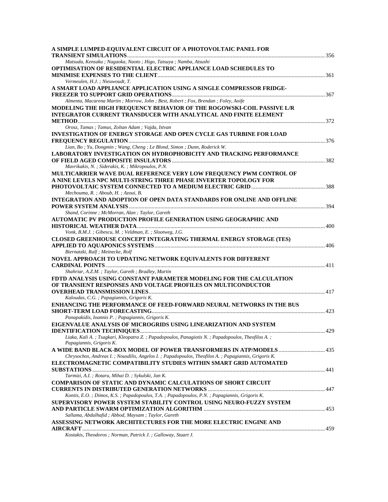| A SIMPLE LUMPED-EQUIVALENT CIRCUIT OF A PHOTOVOLTAIC PANEL FOR                                                                         |  |
|----------------------------------------------------------------------------------------------------------------------------------------|--|
|                                                                                                                                        |  |
| Matsuda, Kensaku; Nagaoka, Naoto; Higo, Tatsuya; Namba, Atsushi                                                                        |  |
| <b>OPTIMISATION OF RESIDENTIAL ELECTRIC APPLIANCE LOAD SCHEDULES TO</b>                                                                |  |
|                                                                                                                                        |  |
| Vermeulen, H.J.; Nieuwoudt, T.                                                                                                         |  |
| A SMART LOAD APPLIANCE APPLICATION USING A SINGLE COMPRESSOR FRIDGE-                                                                   |  |
|                                                                                                                                        |  |
| Almenta, Macarena Martin; Morrow, John; Best, Robert; Fox, Brendan; Foley, Aoife                                                       |  |
| MODELING THE HIGH FREQUENCY BEHAVIOR OF THE ROGOWSKI-COIL PASSIVE L/R                                                                  |  |
| INTEGRATOR CURRENT TRANSDUCER WITH ANALYTICAL AND FINITE ELEMENT                                                                       |  |
|                                                                                                                                        |  |
| Orosz, Tamas; Tamus, Zoltan Adam; Vajda, Istvan                                                                                        |  |
| <b>INVESTIGATION OF ENERGY STORAGE AND OPEN CYCLE GAS TURBINE FOR LOAD</b>                                                             |  |
| Lian, Bo ; Yu, Dongmin ; Wang, Cheng ; Le Blond, Simon ; Dunn, Roderick W.                                                             |  |
|                                                                                                                                        |  |
| <b>LABORATORY INVESTIGATION ON HYDROPHOBICITY AND TRACKING PERFORMANCE</b>                                                             |  |
| Mavrikakis, N. ; Siderakis, K. ; Mikropoulos, P.N.                                                                                     |  |
|                                                                                                                                        |  |
| MULTICARRIER WAVE DUAL REFERENCE VERY LOW FREQUENCY PWM CONTROL OF<br>A NINE LEVELS NPC MULTI-STRING THREE PHASE INVERTER TOPOLOGY FOR |  |
|                                                                                                                                        |  |
| Mechouma, R.; Aboub, H.; Azoui, B.                                                                                                     |  |
| INTEGRATION AND ADOPTION OF OPEN DATA STANDARDS FOR ONLINE AND OFFLINE                                                                 |  |
|                                                                                                                                        |  |
| Shand, Corinne; McMorran, Alan; Taylor, Gareth                                                                                         |  |
| <b>AUTOMATIC PV PRODUCTION PROFILE GENERATION USING GEOGRAPHIC AND</b>                                                                 |  |
|                                                                                                                                        |  |
| Vonk, B.M.J.; Gibescu, M.; Veldman, E.; Slootweg, J.G.                                                                                 |  |
| <b>CLOSED GREENHOUSE CONCEPT INTEGRATING THERMAL ENERGY STORAGE (TES)</b>                                                              |  |
|                                                                                                                                        |  |
| Biernatzki, Ralf; Meinecke, Rolf                                                                                                       |  |
| NOVEL APPROACH TO UPDATING NETWORK EQUIVALENTS FOR DIFFERENT                                                                           |  |
|                                                                                                                                        |  |
| Shahriar, A.Z.M. ; Taylor, Gareth ; Bradley, Martin                                                                                    |  |
| FDTD ANALYSIS USING CONSTANT PARAMETER MODELING FOR THE CALCULATION                                                                    |  |
| OF TRANSIENT RESPONSES AND VOLTAGE PROFILES ON MULTICONDUCTOR                                                                          |  |
|                                                                                                                                        |  |
| Kaloudas, C.G. ; Papagiannis, Grigoris K.                                                                                              |  |
| ENHANCING THE PERFORMANCE OF FEED-FORWARD NEURAL NETWORKS IN THE BUS                                                                   |  |
|                                                                                                                                        |  |
| Panapakidis, Ioannis P.; Papagiannis, Grigoris K.                                                                                      |  |
| EIGENVALUE ANALYSIS OF MICROGRIDS USING LINEARIZATION AND SYSTEM                                                                       |  |
|                                                                                                                                        |  |
| Liaka, Kali A.; Tsagkari, Kleopatra Z.; Papadopoulos, Panagiotis N.; Papadopoulos, Theofilos A.;                                       |  |
| Papagiannis, Grigoris K.                                                                                                               |  |
|                                                                                                                                        |  |
| Chrysochos, Andreas I. ; Nousdilis, Angelos I. ; Papadopoulos, Theofilos A. ; Papagiannis, Grigoris K.                                 |  |
| ELECTROMAGNETIC COMPATIBILITY STUDIES WITHIN SMART GRID AUTOMATED                                                                      |  |
|                                                                                                                                        |  |
| Tarmizi, A.I. ; Rotaru, Mihai D. ; Sykulski, Jan K.                                                                                    |  |
| <b>COMPARISON OF STATIC AND DYNAMIC CALCULATIONS OF SHORT CIRCUIT</b>                                                                  |  |
|                                                                                                                                        |  |
| Kontis, E.O. ; Dimos, K.S. ; Papadopoulos, T.A. ; Papadopoulos, P.N. ; Papagiannis, Grigoris K.                                        |  |
| SUPERVISORY POWER SYSTEM STABILITY CONTROL USING NEURO-FUZZY SYSTEM                                                                    |  |
|                                                                                                                                        |  |
| Sallama, Abdulhafid; Abbod, Maysam; Taylor, Gareth                                                                                     |  |
| ASSESSING NETWORK ARCHITECTURES FOR THE MORE ELECTRIC ENGINE AND                                                                       |  |
|                                                                                                                                        |  |
| Kostakis, Theodoros ; Norman, Patrick J. ; Galloway, Stuart J.                                                                         |  |
|                                                                                                                                        |  |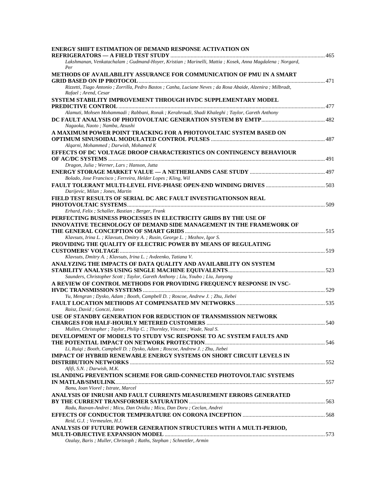| ENERGY SHIFT ESTIMATION OF DEMAND RESPONSE ACTIVATION ON                                                       |  |
|----------------------------------------------------------------------------------------------------------------|--|
| Lakshmanan, Venkatachalam; Gudmand-Hoyer, Kristian; Marinelli, Mattia; Kosek, Anna Magdalena; Norgard,         |  |
| Per                                                                                                            |  |
| <b>METHODS OF AVAILABILITY ASSURANCE FOR COMMUNICATION OF PMU IN A SMART</b>                                   |  |
|                                                                                                                |  |
| Rizzetti, Tiago Antonio ; Zorrilla, Pedro Bastos ; Canha, Luciane Neves ; da Rosa Abaide, Alzenira ; Milbradt, |  |
| Rafael; Arend, Cesar                                                                                           |  |
| SYSTEM STABILITY IMPROVEMENT THROUGH HVDC SUPPLEMENTARY MODEL                                                  |  |
|                                                                                                                |  |
| Alamuti, Mohsen Mohammadi ; Rabbani, Ronak ; Kerahroudi, Shadi Khaleghi ; Taylor, Gareth Anthony               |  |
|                                                                                                                |  |
| Nagaoka, Naoto; Namba, Atsushi                                                                                 |  |
| A MAXIMUM POWER POINT TRACKING FOR A PHOTOVOLTAIC SYSTEM BASED ON                                              |  |
|                                                                                                                |  |
| Alqarni, Mohammed ; Darwish, Mohamed K                                                                         |  |
| EFFECTS OF DC VOLTAGE DROOP CHARACTERISTICS ON CONTINGENCY BEHAVIOUR                                           |  |
| Dragon, Julia ; Werner, Lars ; Hanson, Jutta                                                                   |  |
|                                                                                                                |  |
| Bolado, Jose Francisco; Ferreira, Helder Lopes; Kling, Wil                                                     |  |
|                                                                                                                |  |
| Darijevic, Milan ; Jones, Martin                                                                               |  |
| FIELD TEST RESULTS OF SERIAL DC ARC FAULT INVESTIGATIONSON REAL                                                |  |
|                                                                                                                |  |
| Erhard, Felix ; Schaller, Bastian ; Berger, Frank                                                              |  |
| PERFECTING BUSINESS PROCESSES IN ELECTRICITY GRIDS BY THE USE OF                                               |  |
| INNOVATIVE TECHNOLOGY OF DEMAND SIDE MANAGEMENT IN THE FRAMEWORK OF                                            |  |
|                                                                                                                |  |
| Klavsuts, Irina L.; Klavsuts, Dmitry A.; Rusin, George L.; Mezhov, Igor S.                                     |  |
| PROVIDING THE QUALITY OF ELECTRIC POWER BY MEANS OF REGULATING                                                 |  |
|                                                                                                                |  |
| Klavsuts, Dmitry A. ; Klavsuts, Irina L. ; Avdeenko, Tatiana V.                                                |  |
| ANALYZING THE IMPACTS OF DATA QUALITY AND AVAILABILITY ON SYSTEM                                               |  |
|                                                                                                                |  |
| Saunders, Christopher Scott ; Taylor, Gareth Anthony ; Liu, Youbo ; Liu, Junyong                               |  |
| A REVIEW OF CONTROL METHODS FOR PROVIDING FREQUENCY RESPONSE IN VSC-                                           |  |
|                                                                                                                |  |
| Yu, Mengran ; Dysko, Adam ; Booth, Campbell D. ; Roscoe, Andrew J. ; Zhu, Jiebei                               |  |
| Raisz, David ; Gonczi, Janos                                                                                   |  |
| USE OF STANDBY GENERATION FOR REDUCTION OF TRANSMISSION NETWORK                                                |  |
|                                                                                                                |  |
| Mullen, Christopher ; Taylor, Philip C. ; Thornley, Vincent ; Wade, Neal S.                                    |  |
| DEVELOPMENT OF MODELS TO STUDY VSC RESPONSE TO AC SYSTEM FAULTS AND                                            |  |
|                                                                                                                |  |
| Li, Ruiqi ; Booth, Campbell D. ; Dysko, Adam ; Roscoe, Andrew J. ; Zhu, Jiebei                                 |  |
| <b>IMPACT OF HYBRID RENEWABLE ENERGY SYSTEMS ON SHORT CIRCUIT LEVELS IN</b>                                    |  |
|                                                                                                                |  |
| Afifi, S.N.; Darwish, M.K.                                                                                     |  |
| <b>ISLANDING PREVENTION SCHEME FOR GRID-CONNECTED PHOTOVOLTAIC SYSTEMS</b>                                     |  |
|                                                                                                                |  |
| Banu, Ioan Viorel ; Istrate, Marcel                                                                            |  |
| ANALYSIS OF INRUSH AND FAULT CURRENTS MEASUREMENT ERRORS GENERATED                                             |  |
|                                                                                                                |  |
| Radu, Razvan-Andrei ; Micu, Dan Ovidiu ; Micu, Dan Doru ; Ceclan, Andrei                                       |  |
|                                                                                                                |  |
| Reid, G.J.; Vermeulen, H.J.                                                                                    |  |
| ANALYSIS OF FUTURE POWER GENERATION STRUCTURES WITH A MULTI-PERIOD,                                            |  |
|                                                                                                                |  |
| Ozalay, Baris ; Muller, Christoph ; Raths, Stephan ; Schnettler, Armin                                         |  |
|                                                                                                                |  |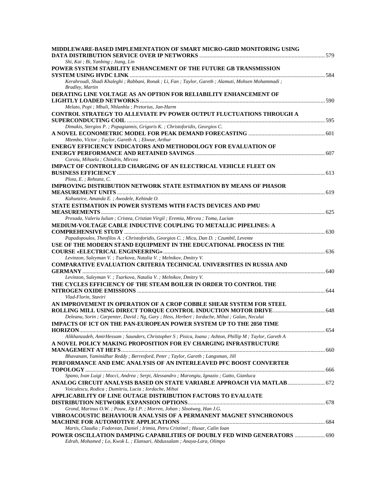| MIDDLEWARE-BASED IMPLEMENTATION OF SMART MICRO-GRID MONITORING USING                                                                               |  |
|----------------------------------------------------------------------------------------------------------------------------------------------------|--|
|                                                                                                                                                    |  |
| Shi, Kai ; Bi, Yanbing ; Jiang, Lin                                                                                                                |  |
| POWER SYSTEM STABILITY ENHANCEMENT OF THE FUTURE GB TRANSMISSION                                                                                   |  |
|                                                                                                                                                    |  |
| Kerahroudi, Shadi Khaleghi ; Rabbani, Ronak ; Li, Fan ; Taylor, Gareth ; Alamuti, Mohsen Mohammadi ;                                               |  |
| Bradley, Martin                                                                                                                                    |  |
| DERATING LINE VOLTAGE AS AN OPTION FOR RELIABILITY ENHANCEMENT OF                                                                                  |  |
|                                                                                                                                                    |  |
| Melato, Popi ; Mbuli, Nhlanhla ; Pretorius, Jan-Harm<br><b>CONTROL STRATEGY TO ALLEVIATE PV POWER OUTPUT FLUCTUATIONS THROUGH A</b>                |  |
|                                                                                                                                                    |  |
| Dimakis, Stergios P. ; Papagiannis, Grigoris K. ; Christoforidis, Georgios C.                                                                      |  |
|                                                                                                                                                    |  |
| Mtembo, Victor; Taylor, Gareth A.; Ekwue, Arthur                                                                                                   |  |
| <b>ENERGY EFFICIENCY INDICATORS AND METHODOLOGY FOR EVALUATION OF</b>                                                                              |  |
|                                                                                                                                                    |  |
| Coroiu, Mihaela; Chindris, Mircea                                                                                                                  |  |
| IMPACT OF CONTROLLED CHARGING OF AN ELECTRICAL VEHICLE FLEET ON                                                                                    |  |
|                                                                                                                                                    |  |
| Plota, E.; Rehtanz, C.                                                                                                                             |  |
| <b>IMPROVING DISTRIBUTION NETWORK STATE ESTIMATION BY MEANS OF PHASOR</b>                                                                          |  |
|                                                                                                                                                    |  |
| Kahunzire, Amanda E.; Awodele, Kehinde O.                                                                                                          |  |
| STATE ESTIMATION IN POWER SYSTEMS WITH FACTS DEVICES AND PMU                                                                                       |  |
|                                                                                                                                                    |  |
| Presada, Valeriu Iulian; Cristea, Cristian Virgil; Eremia, Mircea; Toma, Lucian                                                                    |  |
| <b>MEDIUM-VOLTAGE CABLE INDUCTIVE COUPLING TO METALLIC PIPELINES: A</b>                                                                            |  |
|                                                                                                                                                    |  |
| Papadopoulos, Theofilos A.; Christoforidis, Georgios C.; Micu, Dan D.; Czumbil, Levente                                                            |  |
| USE OF THE MODERN STAND EQUIPMENT IN THE EDUCATIONAL PROCESS IN THE                                                                                |  |
|                                                                                                                                                    |  |
| Levinzon, Suleyman V. ; Tsarkova, Natalia V. ; Melnikov, Dmitry V.                                                                                 |  |
| COMPARATIVE EVALUATION CRITERIA TECHNICAL UNIVERSITIES IN RUSSIA AND                                                                               |  |
|                                                                                                                                                    |  |
| Levinzon, Suleyman V.; Tsarkova, Natalia V.; Melnikov, Dmitry V.                                                                                   |  |
| THE CYCLES EFFICIENCY OF THE STEAM BOILER IN ORDER TO CONTROL THE                                                                                  |  |
|                                                                                                                                                    |  |
| Vlad-Florin, Staviri                                                                                                                               |  |
| AN IMPROVEMENT IN OPERATION OF A CROP COBBLE SHEAR SYSTEM FOR STEEL                                                                                |  |
|                                                                                                                                                    |  |
| Deleanu, Sorin ; Carpenter, David ; Ng, Gary ; Hess, Herbert ; Iordache, Mihai ; Galan, Neculai                                                    |  |
| IMPACTS OF ICT ON THE PAN-EUROPEAN POWER SYSTEM UP TO THE 2050 TIME                                                                                |  |
|                                                                                                                                                    |  |
| Alikhanzadeh, AmirHessam; Saunders, Christopher S; Pisica, Ioana; Ashton, Phillip M; Taylor, Gareth A                                              |  |
| A NOVEL POLICY MAKING PROPOSITION FOR EV CHARGING INFRASTRUCTURE                                                                                   |  |
|                                                                                                                                                    |  |
| Bhavanam, Yaminidhar Reddy; Berresford, Peter; Taylor, Gareth; Langsman, Jill                                                                      |  |
| PERFORMANCE AND EMC ANALYSIS OF AN INTERLEAVED PFC BOOST CONVERTER                                                                                 |  |
|                                                                                                                                                    |  |
| Spano, Ivan Luigi ; Mocci, Andrea ; Serpi, Alessandro ; Marongiu, Ignazio ; Gatto, Gianluca                                                        |  |
| ANALOG CIRCUIT ANALYSIS BASED ON STATE VARIABLE APPROACH VIA MATLAB 672                                                                            |  |
| Voiculescu, Rodica; Dumitriu, Lucia; Iordache, Mihai                                                                                               |  |
| APPLICABILITY OF LINE OUTAGE DISTRIBUTION FACTORS TO EVALUATE                                                                                      |  |
|                                                                                                                                                    |  |
| Grond, Marinus O.W. ; Pouw, Jip I.P. ; Morren, Johan ; Slootweg, Han J.G.                                                                          |  |
| VIBROACOUSTIC BEHAVIOUR ANALYSIS OF A PERMANENT MAGNET SYNCHRONOUS                                                                                 |  |
|                                                                                                                                                    |  |
| Martis, Claudia ; Fodorean, Daniel ; Irimia, Petru Cristinel ; Husar, Calin Ioan                                                                   |  |
| POWER OSCILLATION DAMPING CAPABILITIES OF DOUBLY FED WIND GENERATORS  690<br>Edrah, Mohamed; Lo, Kwok L.; Elansari, Abdussalam; Anaya-Lara, Olimpo |  |
|                                                                                                                                                    |  |
|                                                                                                                                                    |  |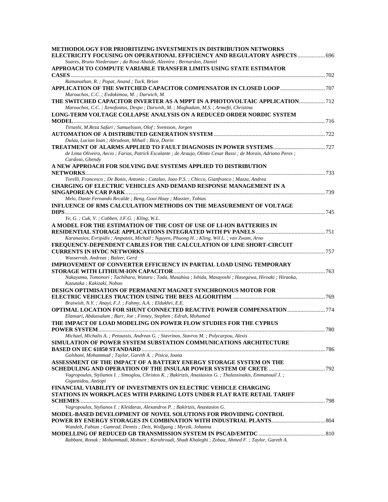| METHODOLOGY FOR PRIORITIZING INVESTMENTS IN DISTRIBUTION NETWORKS                                                                                              |     |
|----------------------------------------------------------------------------------------------------------------------------------------------------------------|-----|
| <b>ELECTRICITY FOCUSING ON OPERATIONAL EFFICIENCY AND REGULATORY ASPECTS  696</b>                                                                              |     |
| Soares, Bruno Niederauer; da Rosa Abaide, Alzenira; Bernardon, Daniel                                                                                          |     |
| APPROACH TO COMPUTE VARIABLE TRANSFER LIMITS USING STATE ESTIMATOR                                                                                             |     |
| Ramanathan, R.; Popat, Anand; Tuck, Brian                                                                                                                      |     |
|                                                                                                                                                                |     |
| Marouchos, C.C.; Evdokimou, M.; Darwich, M.                                                                                                                    |     |
| THE SWITCHED CAPACITOR INVERTER AS A MPPT IN A PHOTOVOLTAIC APPLICATION<br>Marouchos, C.C.; Xenofontos, Despo; Darwish, M.; Moghadam, M.S.; Armefti, Christina |     |
| LONG-TERM VOLTAGE COLLAPSE ANALYSIS ON A REDUCED ORDER NORDIC SYSTEM                                                                                           |     |
|                                                                                                                                                                |     |
| Tirtashi, M.Reza Safari; Samuelsson, Olof; Svensson, Jorgen                                                                                                    |     |
|                                                                                                                                                                |     |
| Dulau, Lucian Ioan; Abrudean, Mihail; Bica, Dorin                                                                                                              |     |
| de Lima Oliveira, Aecio ; Farias, Patrick Escalante ; de Araujo, Olinto Cesar Bassi ; de Morais, Adriano Peres;                                                |     |
| Cardoso, Ghendy                                                                                                                                                |     |
| A NEW APPROACH FOR SOLVING DAE SYSTEMS APPLIED TO DISTRIBUTION                                                                                                 |     |
| Torelli, Francesco ; De Bonis, Antonio ; Catalao, Joao P.S. ; Chicco, Gianfranco ; Mazza, Andrea                                                               |     |
| <b>CHARGING OF ELECTRIC VEHICLES AND DEMAND RESPONSE MANAGEMENT IN A</b>                                                                                       |     |
|                                                                                                                                                                |     |
| Melo, Dante Fernando Recalde ; Beng, Gooi Hoay ; Massier, Tobias                                                                                               |     |
| INFLUENCE OF RMS CALCULATION METHODS ON THE MEASUREMENT OF VOLTAGE                                                                                             |     |
|                                                                                                                                                                |     |
| $Ye, G.$ ; Cuk, V.; Cobben, J.F.G.; Kling, W.L.                                                                                                                |     |
| A MODEL FOR THE ESTIMATION OF THE COST OF USE OF LI-ION BATTERIES IN                                                                                           |     |
| Karanasios, Evripidis ; Ampatzis, Michail ; Nguyen, Phuong H. ; Kling, Wil L. ; van Zwam, Arno                                                                 |     |
| FREQUENCY-DEPENDENT CABLES FOR THE CALCULATION OF LINE SHORT-CIRCUIT                                                                                           |     |
|                                                                                                                                                                |     |
| Wasserrab, Andreas; Balzer, Gerd                                                                                                                               |     |
| IMPROVEMENT OF CONVERTER EFFICIENCY IN PARTIAL LOAD USING TEMPORARY                                                                                            |     |
|                                                                                                                                                                |     |
| Nakayama, Tomonori ; Tachihara, Wataru ; Toda, Masahisa ; Ishida, Masayoshi ; Hasegawa, Hiroaki ; Hiraoka,<br>Kazutaka; Kakizaki, Nobuo                        |     |
| DESIGN OPTIMISATION OF PERMANENT MAGNET SYNCHRONOUS MOTOR FOR                                                                                                  |     |
|                                                                                                                                                                |     |
| Braiwish, N.Y.; Anayi, F.J.; Fahmy, A.A.; Eldukhri, E.E.                                                                                                       |     |
| <b>OPTIMAL LOCATION FOR SHUNT CONNECTED REACTIVE POWER COMPENSATION  774</b>                                                                                   |     |
| Elansari, Abdussalam ; Burr, Joe ; Finney, Stephen ; Edrah, Mohamed                                                                                            |     |
| THE IMPACT OF LOAD MODELING ON POWER FLOW STUDIES FOR THE CYPRUS                                                                                               |     |
| POWER SYSTEM.                                                                                                                                                  | 780 |
| Michael, Michalis A.; Petoussis, Andreas G.; Stavrinos, Stavros M.; Polycarpou, Alexis<br>SIMULATION OF POWER SYSTEM SUBSTATION COMMUNICATIONS ARCHITECTURE    |     |
|                                                                                                                                                                |     |
| Golshani, Mohammad ; Taylor, Gareth A. ; Pisica, Ioana                                                                                                         |     |
| ASSESSMENT OF THE IMPACT OF A BATTERY ENERGY STORAGE SYSTEM ON THE                                                                                             |     |
|                                                                                                                                                                |     |
| Vagropoulos, Stylianos I.; Simoglou, Christos K.; Bakirtzis, Anastasios G.; Thalassinakis, Emmanouil J.;<br>Gigantidou, Antiopi                                |     |
| FINANCIAL VIABILITY OF INVESTMENTS ON ELECTRIC VEHICLE CHARGING                                                                                                |     |
| STATIONS IN WORKPLACES WITH PARKING LOTS UNDER FLAT RATE RETAIL TARIFF                                                                                         |     |
| Vagropoulos, Stylianos I.; Kleidaras, Alexandros P.; Bakirtzis, Anastasios G.                                                                                  |     |
| <b>MODEL-BASED DEVELOPMENT OF NOVEL SOLUTIONS FOR PROVIDING CONTROL</b>                                                                                        |     |
|                                                                                                                                                                |     |
|                                                                                                                                                                |     |
| Wandelt, Fabian ; Gamrad, Dennis ; Deis, Wolfgang ; Myrzik, Johanna                                                                                            |     |
| Rabbani, Ronak; Mohammadi, Mohsen; Kerahroudi, Shadi Khaleghi; Zobaa, Ahmed F.; Taylor, Gareth A.                                                              |     |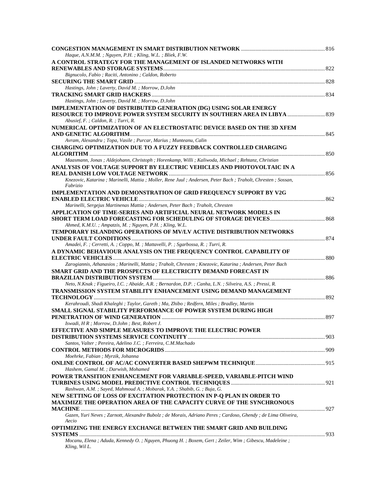| Haque, A.N.M.M.; Nguyen, P.H.; Kling, W.L.; Bliek, F.W.                                                             |  |
|---------------------------------------------------------------------------------------------------------------------|--|
| A CONTROL STRATEGY FOR THE MANAGEMENT OF ISLANDED NETWORKS WITH                                                     |  |
|                                                                                                                     |  |
| Bignucolo, Fabio ; Raciti, Antonino ; Caldon, Roberto                                                               |  |
|                                                                                                                     |  |
| Hastings, John ; Laverty, David M. ; Morrow, D.John                                                                 |  |
|                                                                                                                     |  |
| Hastings, John ; Laverty, David M. ; Morrow, D.John                                                                 |  |
| <b>IMPLEMENTATION OF DISTRIBUTED GENERATION (DG) USING SOLAR ENERGY</b>                                             |  |
| RESOURCE TO IMPROVE POWER SYSTEM SECURITY IN SOUTHERN AREA IN LIBYA  839                                            |  |
| Abusief, F.; Caldon, R.; Turri, R.                                                                                  |  |
| NUMERICAL OPTIMIZATION OF AN ELECTROSTATIC DEVICE BASED ON THE 3D XFEM                                              |  |
|                                                                                                                     |  |
| Avram, Alexandru ; Topa, Vasile ; Purcar, Marius ; Munteanu, Calin                                                  |  |
| <b>CHARGING OPTIMIZATION DUE TO A FUZZY FEEDBACK CONTROLLED CHARGING</b>                                            |  |
|                                                                                                                     |  |
| Maasmann, Jonas ; Aldejohann, Christoph ; Horenkamp, Willi ; Kaliwoda, Michael ; Rehtanz, Christian                 |  |
| ANALYSIS OF VOLTAGE SUPPORT BY ELECTRIC VEHICLES AND PHOTOVOLTAIC IN A                                              |  |
|                                                                                                                     |  |
| Knezovic, Katarina ; Marinelli, Mattia ; Moller, Rene Juul ; Andersen, Peter Bach ; Traholt, Chresten ; Sossan,     |  |
| Fabrizio                                                                                                            |  |
| <b>IMPLEMENTATION AND DEMONSTRATION OF GRID FREQUENCY SUPPORT BY V2G</b>                                            |  |
|                                                                                                                     |  |
| Marinelli, Sergejus Martinenas Mattia ; Andersen, Peter Bach ; Traholt, Chresten                                    |  |
| APPLICATION OF TIME-SERIES AND ARTIFICIAL NEURAL NETWORK MODELS IN                                                  |  |
|                                                                                                                     |  |
| Ahmed, K.M.U.; Ampatzis, M.; Nguyen, P.H.; Kling, W.L.                                                              |  |
| TEMPORARY ISLANDING OPERATIONS OF MV/LV ACTIVE DISTRIBUTION NETWORKS                                                |  |
|                                                                                                                     |  |
| Amadei, F.; Cerretti, A.; Coppo, M.; Mattavelli, P.; Sgarbossa, R.; Turri, R.                                       |  |
|                                                                                                                     |  |
| A DYNAMIC BEHAVIOUR ANALYSIS ON THE FREQUENCY CONTROL CAPABILITY OF                                                 |  |
|                                                                                                                     |  |
| Zarogiannis, Athanasios ; Marinelli, Mattia ; Traholt, Chresten ; Knezovic, Katarina ; Andersen, Peter Bach         |  |
| SMART GRID AND THE PROSPECTS OF ELECTRICITY DEMAND FORECAST IN                                                      |  |
|                                                                                                                     |  |
| Neto, N.Knak; Figueiro, I.C.; Abaide, A.R.; Bernardon, D.P.; Canha, L.N.; Silveira, A.S.; Pressi, R.                |  |
| TRANSMISSION SYSTEM STABILITY ENHANCEMENT USING DEMAND MANAGEMENT                                                   |  |
|                                                                                                                     |  |
| Kerahroudi, Shadi Khaleghi ; Taylor, Gareth ; Ma, Zhibo ; Redfern, Miles ; Bradley, Martin                          |  |
| SMALL SIGNAL STABILITY PERFORMANCE OF POWER SYSTEM DURING HIGH                                                      |  |
|                                                                                                                     |  |
| Iswadi, H R ; Morrow, D.John ; Best, Robert J.                                                                      |  |
| EFFECTIVE AND SIMPLE MEASURES TO IMPROVE THE ELECTRIC POWER                                                         |  |
|                                                                                                                     |  |
| Santos, Valter; Pereira, Adelino J.C.; Ferreira, C.M.Machado                                                        |  |
|                                                                                                                     |  |
| Moehrke, Fabian ; Myrzik, Johanna                                                                                   |  |
|                                                                                                                     |  |
| Hashem, Gamal M.; Darwish, Mohamed                                                                                  |  |
| POWER TRANSITION ENHANCEMENT FOR VARIABLE-SPEED, VARIABLE-PITCH WIND                                                |  |
|                                                                                                                     |  |
| Rashwan, A.M. ; Sayed, Mahmoud A. ; Mobarak, Y.A. ; Shabib, G. ; Buja, G.                                           |  |
|                                                                                                                     |  |
| NEW SETTING OF LOSS OF EXCITATION PROTECTION IN P-Q PLAN IN ORDER TO                                                |  |
| MAXIMIZE THE OPERATION AREA OF THE CAPACITY CURVE OF THE SYNCHRONOUS                                                |  |
|                                                                                                                     |  |
| Gazen, Yuri Neves ; Zarnott, Alexandre Bubolz ; de Morais, Adriano Peres ; Cardoso, Ghendy ; de Lima Oliveira,      |  |
| Aecio                                                                                                               |  |
| OPTIMIZING THE ENERGY EXCHANGE BETWEEN THE SMART GRID AND BUILDING                                                  |  |
|                                                                                                                     |  |
| Mocanu, Elena; Aduda, Kennedy O.; Nguyen, Phuong H.; Boxem, Gert; Zeiler, Wim; Gibescu, Madeleine;<br>Kling, Wil L. |  |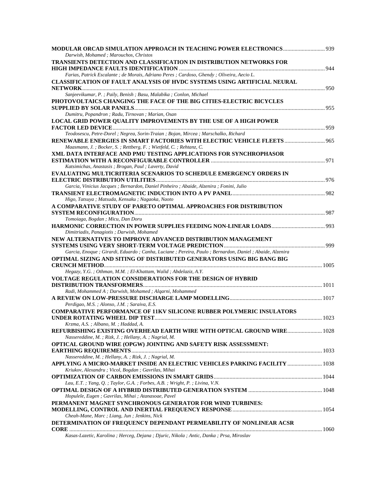| Darwish, Mohamed; Marouchos, Christos                                                                      |  |
|------------------------------------------------------------------------------------------------------------|--|
| TRANSIENTS DETECTION AND CLASSIFICATION IN DISTRIBUTION NETWORKS FOR                                       |  |
|                                                                                                            |  |
| Farias, Patrick Escalante ; de Morais, Adriano Peres ; Cardoso, Ghendy ; Oliveira, Aecio L.                |  |
| CLASSIFICATION OF FAULT ANALYSIS OF HVDC SYSTEMS USING ARTIFICIAL NEURAL                                   |  |
|                                                                                                            |  |
| Sanjeevikumar, P.; Paily, Benish; Basu, Malabika; Conlon, Michael                                          |  |
| PHOTOVOLTAICS CHANGING THE FACE OF THE BIG CITIES-ELECTRIC BICYCLES                                        |  |
|                                                                                                            |  |
| Dumitru, Popandron ; Radu, Tirnovan ; Marian, Osan                                                         |  |
| LOCAL GRID POWER QUALITY IMPROVEMENTS BY THE USE OF A HIGH POWER                                           |  |
|                                                                                                            |  |
| Teodosescu, Petre-Dorel ; Negrea, Sorin-Traian ; Bojan, Mircea ; Marschalko, Richard                       |  |
| RENEWABLE ENERGIES IN SMART FACTORIES WITH ELECTRIC VEHICLE FLEETS  965                                    |  |
| Maasmann, J.; Bocker, S.; Rettberg, F.; Wietfeld, C.; Rehtanz, C.                                          |  |
| XML DATA INTERFACE AND PMU TESTING APPLICATIONS FOR SYNCHROPHASOR                                          |  |
|                                                                                                            |  |
| Katsimichas, Anastasis ; Brogan, Paul ; Laverty, David                                                     |  |
| EVALUATING MULTICRITERIA SCENARIOS TO SCHEDULE EMERGENCY ORDERS IN                                         |  |
|                                                                                                            |  |
| Garcia, Vinicius Jacques ; Bernardon, Daniel Pinheiro ; Abaide, Alzenira ; Fonini, Julio                   |  |
|                                                                                                            |  |
| Higo, Tatsuya; Matsuda, Kensaku; Nagaoka, Naoto                                                            |  |
| A COMPARATIVE STUDY OF PARETO OPTIMAL APPROACHES FOR DISTRIBUTION                                          |  |
|                                                                                                            |  |
| Tomoiaga, Bogdan; Micu, Dan Doru                                                                           |  |
|                                                                                                            |  |
| Dimitriadis, Panagiotis; Darwish, Mohamed                                                                  |  |
| NEW ALTERNATIVES TO IMPROVE ADVANCED DISTRIBUTION MANAGEMENT                                               |  |
|                                                                                                            |  |
| Garcia, Enoque ; Girardi, Eduardo ; Canha, Luciane ; Pereira, Paulo ; Bernardon, Daniel ; Abaide, Alzenira |  |
| OPTIMAL SIZING AND SITING OF DISTRIBUTED GENERATORS USING BIG BANG BIG                                     |  |
|                                                                                                            |  |
| Hegazy, Y.G.; Othman, M.M.; El-Khattam, Walid; Abdelaziz, A.Y.                                             |  |
| <b>VOLTAGE REGULATION CONSIDERATIONS FOR THE DESIGN OF HYBRID</b>                                          |  |
|                                                                                                            |  |
| Radi, Mohammed A; Darwish, Mohamed; Algarni, Mohammed                                                      |  |
|                                                                                                            |  |
| Perdigao, M.S.; Alonso, J.M.; Saraiva, E.S.                                                                |  |
| <b>COMPARATIVE PERFORMANCE OF 11KV SILICONE RUBBER POLYMERIC INSULATORS</b>                                |  |
|                                                                                                            |  |
| Krzma, A.S.; Albano, M.; Haddad, A.                                                                        |  |
| REFURBISHING EXISTING OVERHEAD EARTH WIRE WITH OPTICAL GROUND WIRE 1028                                    |  |
| Nassereddine, M.; Rizk, J.; Hellany, A.; Nagrial, M.                                                       |  |
| OPTICAL GROUND WIRE (OPGW) JOINTING AND SAFETY RISK ASSESSMENT:                                            |  |
|                                                                                                            |  |
| Nassereddine, M.; Hellany, A.; Rizk, J.; Nagrial, M.                                                       |  |
| APPLYING A MICRO-MARKET INSIDE AN ELECTRIC VEHICLES PARKING FACILITY  1038                                 |  |
| Kriukov, Alexandru ; Vicol, Bogdan ; Gavrilas, Mihai                                                       |  |
|                                                                                                            |  |
| Lau, E.T.; Yang, Q.; Taylor, G.A.; Forbes, A.B.; Wright, P.; Livina, V.N.                                  |  |
|                                                                                                            |  |
| Hopulele, Eugen ; Gavrilas, Mihai ; Atanasoae, Pavel                                                       |  |
| PERMANENT MAGNET SYNCHRONOUS GENERATOR FOR WIND TURBINES:                                                  |  |
|                                                                                                            |  |
| Cheah-Mane, Marc ; Liang, Jun ; Jenkins, Nick                                                              |  |
| DETERMINATION OF FREQUENCY DEPENDANT PERMEABILITY OF NONLINEAR ACSR                                        |  |
|                                                                                                            |  |
| Kasas-Lazetic, Karolina ; Herceg, Dejana ; Djuric, Nikola ; Antic, Danka ; Prsa, Miroslav                  |  |
|                                                                                                            |  |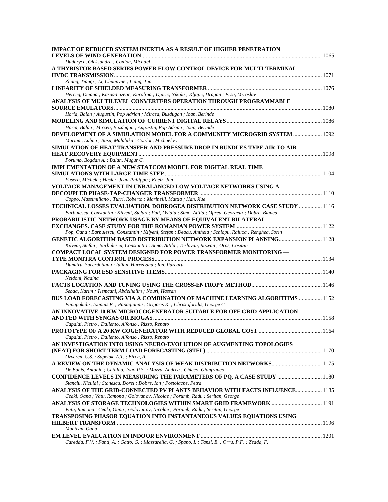| IMPACT OF REDUCED SYSTEM INERTIA AS A RESULT OF HIGHER PENETRATION                                                                             |  |
|------------------------------------------------------------------------------------------------------------------------------------------------|--|
|                                                                                                                                                |  |
| Dudurych, Oleksandra; Conlon, Michael                                                                                                          |  |
| A THYRISTOR BASED SERIES POWER FLOW CONTROL DEVICE FOR MULTI-TERMINAL                                                                          |  |
|                                                                                                                                                |  |
| Zhang, Tianqi ; Li, Chuanyue ; Liang, Jun                                                                                                      |  |
| Herceg, Dejana ; Kasas-Lazetic, Karolina ; Djuric, Nikola ; Kljajic, Dragan ; Prsa, Miroslav                                                   |  |
| ANALYSIS OF MULTILEVEL CONVERTERS OPERATION THROUGH PROGRAMMABLE                                                                               |  |
|                                                                                                                                                |  |
| Horia, Balan ; Augustin, Pop Adrian ; Mircea, Buzdugan ; Ioan, Berinde                                                                         |  |
|                                                                                                                                                |  |
| Horia, Balan; Mircea, Buzdugan; Augustin, Pop Adrian; Ioan, Berinde                                                                            |  |
| DEVELOPMENT OF A SIMULATION MODEL FOR A COMMUNITY MICROGRID SYSTEM  1092                                                                       |  |
| Mariam, Lubna; Basu, Malabika; Conlon, Michael F.                                                                                              |  |
| SIMULATION OF HEAT TRANSFER AND PRESSURE DROP IN BUNDLES TYPE AIR TO AIR                                                                       |  |
|                                                                                                                                                |  |
| Porumb, Bogdan A. ; Balan, Mugur C.                                                                                                            |  |
| <b>IMPLEMENTATION OF A NEW STATCOM MODEL FOR DIGITAL REAL TIME</b>                                                                             |  |
|                                                                                                                                                |  |
| Fusero, Michele; Hasler, Jean-Philippe; Kheir, Jan                                                                                             |  |
| VOLTAGE MANAGEMENT IN UNBALANCED LOW VOLTAGE NETWORKS USING A                                                                                  |  |
| Coppo, Massimiliano; Turri, Roberto; Marinelli, Mattia; Han, Xue                                                                               |  |
| TECHNICAL LOSSES EVALUATION. DOBROGEA DISTRIBUTION NETWORK CASE STUDY  1116                                                                    |  |
| Barbulescu, Constantin; Kilyeni, Stefan; Fati, Ovidiu; Simo, Attila; Oprea, Georgeta; Dobre, Bianca                                            |  |
| PROBABILISTIC NETWORK USAGE BY MEANS OF EQUIVALENT BILATERAL                                                                                   |  |
| <b>EXCHANGES. CASE STUDY FOR THE ROMANIAN POWER SYSTEM</b>                                                                                     |  |
| Pop, Oana; Barbulescu, Constantin; Kilyeni, Stefan; Deacu, Antheia; Schiopu, Raluca; Renghea, Sorin                                            |  |
| <b>GENETIC ALGORITHM BASED DISTRIBUTION NETWORK EXPANSION PLANNING 1128</b>                                                                    |  |
| Kilyeni, Stefan ; Barbulescu, Constantin ; Simo, Attila ; Teslovan, Razvan ; Oros, Cosmin                                                      |  |
| COMPACT LOCAL SYSTEM DESIGNED FOR POWER TRANSFORMER MONITORING —                                                                               |  |
|                                                                                                                                                |  |
| Dumitru, Sacerdotianu ; Iulian, Hurezeanu ; Ion, Purcaru                                                                                       |  |
|                                                                                                                                                |  |
| Neidoni, Nadina                                                                                                                                |  |
|                                                                                                                                                |  |
| Sebaa, Karim; Tlemcani, Abdelhalim; Nouri, Hassan<br>BUS LOAD FORECASTING VIA A COMBINATION OF MACHINE LEARNING ALGORITHMS  1152               |  |
| Panapakidis, Ioannis P.; Papagiannis, Grigoris K.; Christoforidis, George C.                                                                   |  |
| AN INNOVATIVE 10 KW MICROCOGENERATOR SUITABLE FOR OFF GRID APPLICATION                                                                         |  |
|                                                                                                                                                |  |
| Capaldi, Pietro ; Daliento, Alfonso ; Rizzo, Renato                                                                                            |  |
|                                                                                                                                                |  |
| Capaldi, Pietro; Daliento, Alfonso; Rizzo, Renato                                                                                              |  |
| AN INVESTIGATION INTO USING NEURO-EVOLUTION OF AUGMENTING TOPOLOGIES                                                                           |  |
|                                                                                                                                                |  |
| Ozveren, C.S.; Sapeluk, A.T.; Birch, A.                                                                                                        |  |
|                                                                                                                                                |  |
| De Bonis, Antonio ; Catalao, Joao P.S. ; Mazza, Andrea ; Chicco, Gianfranco                                                                    |  |
| CONFIDENCE LEVELS IN MEASURING THE PARAMETERS OF PQ. A CASE STUDY  1180<br>Stanciu, Niculai ; Stanescu, Dorel ; Dobre, Ion ; Postolache, Petra |  |
| ANALYSIS OF THE GRID-CONNECTED PV PLANTS BEHAVIOR WITH FACTS INFLUENCE 1185                                                                    |  |
| Ceaki, Oana; Vatu, Ramona; Golovanov, Nicolae; Porumb, Radu; Seritan, George                                                                   |  |
|                                                                                                                                                |  |
| Vatu, Ramona; Ceaki, Oana; Golovanov, Nicolae; Porumb, Radu; Seritan, George                                                                   |  |
| TRANSPOSING PHASOR EQUATION INTO INSTANTANEOUS VALUES EQUATIONS USING                                                                          |  |
|                                                                                                                                                |  |
| Muntean, Oana                                                                                                                                  |  |
|                                                                                                                                                |  |
| Caredda, F.V.; Fanti, A.; Gatto, G.; Mazzarella, G.; Spano, I.; Tanzi, E.; Orru, P.F.; Zedda, F.                                               |  |
|                                                                                                                                                |  |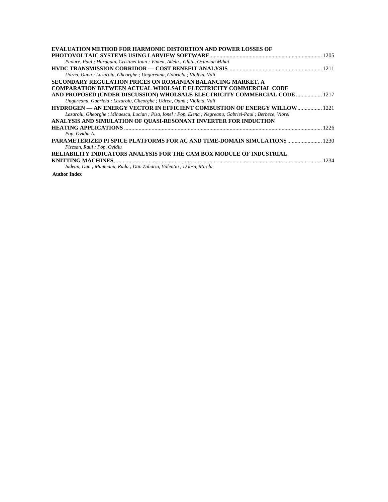| <b>EVALUATION METHOD FOR HARMONIC DISTORTION AND POWER LOSSES OF</b>                                   |  |
|--------------------------------------------------------------------------------------------------------|--|
|                                                                                                        |  |
| Padure, Paul ; Haraguta, Cristinel Ioan ; Vintea, Adela ; Ghita, Octavian Mihai                        |  |
|                                                                                                        |  |
| Udrea, Oana; Lazaroiu, Gheorghe; Ungureanu, Gabriela; Violeta, Vali                                    |  |
| SECONDARY REGULATION PRICES ON ROMANIAN BALANCING MARKET. A                                            |  |
| COMPARATION BETWEEN ACTUAL WHOLSALE ELECTRICITY COMMERCIAL CODE                                        |  |
| AND PROPOSED (UNDER DISCUSSION) WHOLSALE ELECTRICITY COMMERCIAL CODE  1217                             |  |
| Ungureanu, Gabriela; Lazaroiu, Gheorghe; Udrea, Oana; Violeta, Vali                                    |  |
| <b>HYDROGEN — AN ENERGY VECTOR IN EFFICIENT COMBUSTION OF ENERGY WILLOW  1221</b>                      |  |
| Lazaroiu, Gheorghe; Mihaescu, Lucian; Pisa, Ionel; Pop, Elena; Negreanu, Gabriel-Paul; Berbece, Viorel |  |
| ANALYSIS AND SIMULATION OF QUASI-RESONANT INVERTER FOR INDUCTION                                       |  |
|                                                                                                        |  |
| Pop, Ovidiu A.                                                                                         |  |
| <b>PARAMETERIZED PI SPICE PLATFORMS FOR AC AND TIME-DOMAIN SIMULATIONS  1230</b>                       |  |
| Fizesan, Raul ; Pop, Ovidiu                                                                            |  |
| RELIABILITY INDICATORS ANALYSIS FOR THE CAM BOX MODULE OF INDUSTRIAL                                   |  |
| <b>KNITTING MACHINES.</b><br>1234                                                                      |  |
| Iudean, Dan; Munteanu, Radu; Dan Zaharia, Valentin; Dobra, Mirela                                      |  |

**Author Index**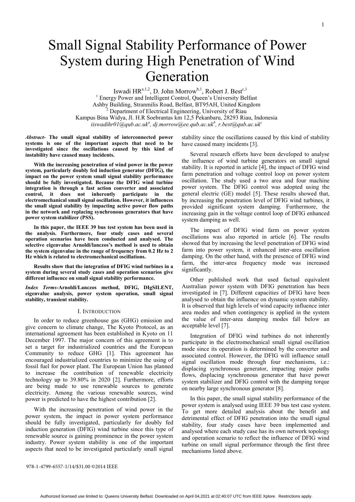### Small Signal Stability Performance of Power System during High Penetration of Wind Generation

Iswadi HR<sup>a,1,2</sup>, D. John Morrow<sup>b,1</sup>, Robert J. Best<sup>c,1</sup> <sup>1</sup> Energy Power and Intelligent Control, Queen's University Belfast Ashby Building, Stranmilis Road, Belfast, BT95AH, United Kingdom <sup>2</sup> Department of Electrical Engineering, University of Riau Kampus Bina Widya, Jl. H.R Soebrantas km 12,5 Pekanbaru, 28293 Riau, Indonesia  $i$ iswadihr $0$ I@qub.ac.uk $\text{\^a}$ , dj.morrow@ee.qub.ac.uk $\text{\^b}$ , r.best@qub.ac.uk $\text{\^c}$ 

*Abstract***- The small signal stability of interconnected power systems is one of the important aspects that need to be investigated since the oscillations caused by this kind of instability have caused many incidents.**

**With the increasing penetration of wind power in the power system, particularly doubly fed induction generator (DFIG), the impact on the power system small signal stability performance should be fully investigated. Because the DFIG wind turbine integration is through a fast action converter and associated control, it does not inherently participate in the electromechanical small signal oscillation. However, it influences the small signal stability by impacting active power flow paths in the network and replacing synchronous generators that have power system stabilizer (PSS).**

**In this paper, the IEEE 39 bus test system has been used in the analysis. Furthermore, four study cases and several operation scenarios have been conducted and analysed. The selective eigenvalue Arnoldi/lanczos's method is used to obtain the system eigenvalue in the range of frequency from 0.2 Hz to 2 Hz which is related to electromechanical oscillations.**

**Results show that the integration of DFIG wind turbines in a system during several study cases and operation scenarios give different influence on small signal stability performance.** 

*Index Terms-***Arnoldi/Lanczos method, DFIG, DIgSILENT, eigenvalue analysis, power system operation, small signal stability, transient stability.** 

#### I. INTRODUCTION

 In order to reduce greenhouse gas (GHG) emission and give concern to climate change, The Kyoto Protocol, as an international agreement has been established in Kyoto on 11 December 1997. The major concern of this agreement is to set a target for industrialized countries and the European Community to reduce GHG [1]. This agreement has encouraged industrialized countries to minimize the using of fossil fuel for power plant. The European Union has planned to increase the contribution of renewable electricity technology up to 39.80% in 2020 [2]. Furthermore, efforts are being made to use renewable sources to generate electricity. Among the various renewable sources, wind power is predicted to have the highest contribution [2].

 With the increasing penetration of wind power in the power system, the impact in power system performance should be fully investigated, particularly for doubly fed induction generation (DFIG) wind turbine since this type of renewable source is gaining prominence in the power system industry. Power system stability is one of the important aspects that need to be investigated particularly small signal

stability since the oscillations caused by this kind of stability have caused many incidents [3].

 Several research efforts have been developed to analyse the influence of wind turbine generators on small signal stability. It is reported in article [4], the impact of DFIG wind farm penetration and voltage control loop on power system oscillation. The study used a two area and four machine power system. The DFIG control was adopted using the general electric (GE) model [5]. These results showed that, by increasing the penetration level of DFIG wind turbines, it provided significant system damping. Furthermore, the increasing gain in the voltage control loop of DFIG enhanced system damping as well.

 The impact of DFIG wind farm on power system oscillations was also reported in article [6]. The results showed that by increasing the level penetration of DFIG wind farm into power system, it enhanced inter-area oscillation damping. On the other hand, with the presence of DFIG wind farm, the inter-area frequency mode was increased significantly.

 Other published work that used factual equivalent Australian power system with DFIG penetration has been investigated in [7]. Different capacities of DFIG have been analysed to obtain the influence on dynamic system stability. It is observed that high levels of wind capacity influence inter area modes and when contingency is applied in the system the value of inter-area damping modes fall below an acceptable level [7].

 Integration of DFIG wind turbines do not inherently participate in the electromechanical small signal oscillation mode since its operation is determined by the converter and associated control. However, the DFIG will influence small signal oscillation mode through four mechanisms, i.e.: displacing synchronous generator, impacting major paths flows, displacing synchronous generator that have power system stabilizer and DFIG control with the damping torque on nearby large synchronous generator [8].

 In this paper, the small signal stability performance of the power system is analysed using IEEE 39 bus test case system. To get more detailed analysis about the benefit and detrimental effect of DFIG penetration into the small signal stability, four study cases have been implemented and analysed where each study case has its own network topology and operation scenario to reflect the influence of DFIG wind turbine on small signal performance through the first three mechanisms listed above.

978-1-4799-6557-1/14/\$31.00 ©2014 IEEE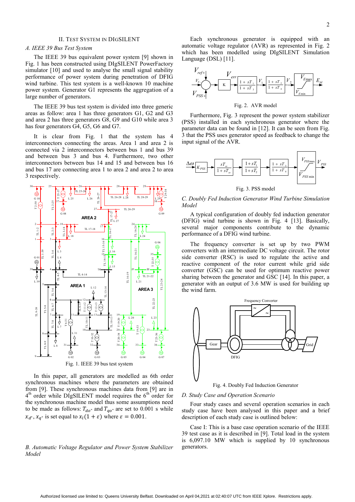#### II. TEST SYSTEM IN DIGSILENT

#### *A. IEEE 39 Bus Test System*

 The IEEE 39 bus equivalent power system [9] shown in Fig. 1 has been constructed using DIgSILENT PowerFactory simulator [10] and used to analyse the small signal stability performance of power system during penetration of DFIG wind turbine. This test system is a well-known 10 machine power system. Generator G1 represents the aggregation of a large number of generators.

 The IEEE 39 bus test system is divided into three generic areas as follow: area 1 has three generators G1, G2 and G3 and area 2 has three generators G8, G9 and G10 while area 3 has four generators G4, G5, G6 and G7.

 It is clear from Fig. 1 that the system has 4 interconnectors connecting the areas. Area 1 and area 2 is connected via 2 interconnectors between bus 1 and bus 39 and between bus 3 and bus 4. Furthermore, two other interconnectors between bus 14 and 15 and between bus 16 and bus 17 are connecting area 1 to area 2 and area 2 to area 3 respectively.



 In this paper, all generators are modelled as 6th order synchronous machines where the parameters are obtained from [9]. These synchronous machines data from [9] are in  $4<sup>th</sup>$  order while DIgSILENT model requires the  $6<sup>th</sup>$  order for the synchronous machine model thus some assumptions need to be made as follows:  $T_{do}$  and  $T_{qo}$  are set to 0.001 s while  $x_{d}$ ,  $x_{q}$  is set equal to  $x_{l}(1 + \varepsilon)$  where  $\varepsilon = 0.001$ .

*B. Automatic Voltage Regulator and Power System Stabilizer Model* 

 Each synchronous generator is equipped with an automatic voltage regulator (AVR) as represented in Fig. 2 which has been modelled using DIgSILENT Simulation Language (DSL) [11].



#### Fig. 2. AVR model

 Furthermore, Fig. 3 represent the power system stabilizer (PSS) installed in each synchronous generator where the parameter data can be found in [12]. It can be seen from Fig. 3 that the PSS uses generator speed as feedback to change the input signal of the AVR.



#### *C. Doubly Fed Induction Generator Wind Turbine Simulation Model*

 A typical configuration of doubly fed induction generator (DFIG) wind turbine is shown in Fig. 4 [13]. Basically, several major components contribute to the dynamic performance of a DFIG wind turbine.

 The frequency converter is set up by two PWM converters with an intermediate DC voltage circuit. The rotor side converter (RSC) is used to regulate the active and reactive component of the rotor current while grid side converter (GSC) can be used for optimum reactive power sharing between the generator and GSC [14]. In this paper, a generator with an output of 3.6 MW is used for building up the wind farm.



Fig. 4. Doubly Fed Induction Generator

#### *D. Study Case and Operation Scenario*

 Four study cases and several operation scenarios in each study case have been analysed in this paper and a brief description of each study case is outlined below:

 Case I: This is a base case operation scenario of the IEEE 39 test case as it is described in [9]. Total load in the system is 6,097.10 MW which is supplied by 10 synchronous generators.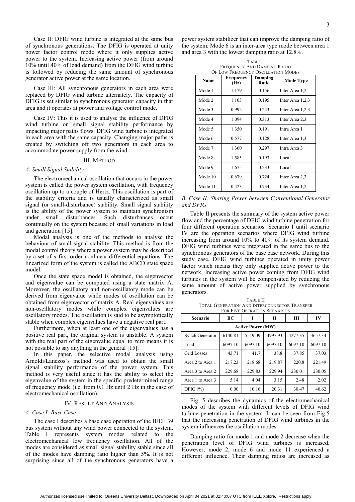Case II: DFIG wind turbine is integrated at the same bus of synchronous generations. The DFIG is operated at unity power factor control mode where it only supplies active power to the system. Increasing active power (from around 10% until 40% of load demand) from the DFIG wind turbine is followed by reducing the same amount of synchronous generator active power at the same location.

 Case III: All synchronous generators in each area were replaced by DFIG wind turbine alternately. The capacity of DFIG is set similar to synchronous generator capacity in that area and it operates at power and voltage control mode.

 Case IV: This it is used to analyse the influence of DFIG wind turbine on small signal stability performance by impacting major paths flows. DFIG wind turbine is integrated in each area with the same capacity. Changing major paths is created by switching off two generators in each area to accommodate power supply from the wind.

#### III. METHOD

#### *A. Small Signal Stability*

 The electromechanical oscillation that occurs in the power system is called the power system oscillation, with frequency oscillation up to a couple of Hertz. This oscillation is part of the stability criteria and is usually characterized as small signal (or small-disturbance) stability. Small signal stability is the ability of the power system to maintain synchronism under small disturbances. Such disturbances occur continually on the system because of small variations in load and generation [15].

 Modal analysis is one of the methods to analyse the behaviour of small signal stability. This method is from the modal control theory where a power system may be described by a set of *n* first order nonlinear differential equations. The linearized form of the system is called the ABCD state space model.

 Once the state space model is obtained, the eigenvector and eigenvalue can be computed using a state matrix A. Moreover, the oscillatory and non-oscillatory mode can be derived from eigenvalue while modes of oscillation can be obtained from eigenvector of matrix A. Real eigenvalues are non-oscillatory modes while complex eigenvalues are oscillatory modes. The oscillation is said to be asymptotically stable when complex eigenvalues have a negative real part.

 Furthermore, when at least one of the eigenvalues has a positive real part, the original system is unstable. A system with the real part of the eigenvalue equal to zero means it is not possible to say anything in the general [15].

 In this paper, the selective modal analysis using Arnoldi/Lanczos's method was used to obtain the small signal stability performance of the power system. This method is very useful since it has the ability to select the eigenvalue of the system in the specific predetermined range of frequency mode (i.e. from 0.1 Hz until 2 Hz in the case of electromechanical oscillation).

#### IV. RESULT AND ANALYSIS

#### *A. Case I: Base Case*

 The case I describes a base case operation of the IEEE 39 bus system without any wind power connected to the system. Table I represents system modes related to the electromechanical low frequency oscillation. All of the modes are considered as small signal stability stable since all of the modes have damping ratio higher than 5%. It is not surprising since all of the synchronous generators have a

power system stabilizer that can improve the damping ratio of the system. Mode 6 is an inter-area type mode between area 1 and area 3 with the lowest damping ratio at 12.8%.

| Tarle I                     |                                    |                  |                  |
|-----------------------------|------------------------------------|------------------|------------------|
| FREQUENCY AND DAMPING RATIO |                                    |                  |                  |
|                             | OF LOW FREQUENCY OSCILLATION MODES |                  |                  |
| <b>Name</b>                 | <b>Frequency</b><br>(Hz)           | Damping<br>Ratio | <b>Mode Type</b> |
| Mode 1                      | 1.179                              | 0.156            | Inter Area 1,2   |
| Mode 2                      | 1.103                              | 0.195            | Inter Area 1,2,3 |
| Mode 3                      | 0.992                              | 0.243            | Inter Area 1,2,3 |
| Mode 4                      | 1.094                              | 0.313            | Inter Area 2,3   |
| Mode 5                      | 1.350                              | 0.191            | Intra Area 1     |

Mode 6 0.577 0.128 Inter Area 1,3 Mode 7 1.360 0.297 Intra Area 3 Mode 8 1.585 0.193 Local

| Mode 10 | 0.679 |       |                |  |
|---------|-------|-------|----------------|--|
|         |       | 0.724 | Inter Area 2,3 |  |
| Mode 11 | 0.423 | 0.734 | Inter Area 1,2 |  |

|          |  | B. Case II: Sharing Power between Conventional Generator |  |
|----------|--|----------------------------------------------------------|--|
| and DFIG |  |                                                          |  |

 Table II presents the summary of the system active power flow and the percentage of DFIG wind turbine penetration for four different operation scenarios. Scenario I until scenario IV are the operation scenarios where DFIG wind turbine increasing from around 10% to 40% of its system demand. DFIG wind turbines were integrated in the same bus to the synchronous generators of the base case network. During this study case, DFIG wind turbines operated in unity power factor which means they only supplied active power to the network. Increasing active power coming from DFIG wind turbines in the system will be compensated by reducing the same amount of active power supplied by synchronous generators.

TABLE II TOTAL GENERATION AND INTERCONNECTOR TRANSFER FOR FIVE OPERATION SCENARIOS

| <b>Scenario</b>          | ВC      | I       | П       | Ш       | IV      |  |  |
|--------------------------|---------|---------|---------|---------|---------|--|--|
| <b>Active Power (MW)</b> |         |         |         |         |         |  |  |
| Synch Generator          | 6140.81 | 5519.09 | 4997.93 | 4277.35 | 3657.34 |  |  |
| Load                     | 6097.10 | 6097.10 | 6097.10 | 6097.10 | 6097.10 |  |  |
| <b>Grid Losses</b>       | 43.71   | 41.7    | 38.8    | 37.85   | 37.03   |  |  |
| Area 2 to Area 1         | 217.23  | 218.68  | 219.87  | 220.8   | 221.49  |  |  |
| Area 3 to Area 2         | 229.68  | 229.83  | 229.94  | 230.01  | 230.05  |  |  |
| Area 1 to Area 3         | 5.14    | 4.04    | 3.15    | 2.48    | 2.02    |  |  |
| DFIG $(\%)$              | 0.00    | 10.16   | 20.31   | 30.47   | 40.62   |  |  |

 Fig. 5 describes the dynamics of the electromechanical modes of the system with different levels of DFIG wind turbine penetration in the system. It can be seen from Fig.5 that the increasing penetration of DFIG wind turbines in the system influences the oscillation modes.

 Damping ratio for mode 1 and mode 2 decrease when the penetration level of DFIG wind turbines is increased. However, mode 2, mode 6 and mode 11 experienced a different influence. Their damping ratios are increased as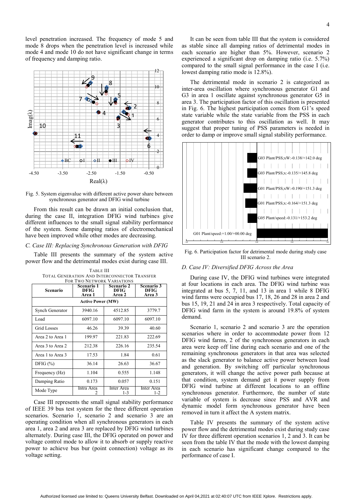level penetration increased. The frequency of mode 5 and mode 8 drops when the penetration level is increased while mode 4 and mode 10 do not have significant change in terms of frequency and damping ratio.



Fig. 5. System eigenvalue with different active power share between synchronous generator and DFIG wind turbine

 From this result can be drawn an initial conclusion that, during the case II, integration DFIG wind turbines give different influences to the small signal stability performance of the system. Some damping ratios of electromechanical have been improved while other modes are decreasing.

#### *C. Case III: Replacing Synchronous Generation with DFIG*

 Table III presents the summary of the system active power flow and the detrimental modes exist during case III.

| Scenario                 | Scenario 1<br>DFIG<br>Area 1 | <b>Scenario 2</b><br><b>DFIG</b><br>Area 2 | <b>Scenario 3</b><br>DFIG<br>Area 3 |  |  |  |
|--------------------------|------------------------------|--------------------------------------------|-------------------------------------|--|--|--|
| <b>Active Power (MW)</b> |                              |                                            |                                     |  |  |  |
| <b>Synch Generator</b>   | 3940.16                      | 4512.85                                    | 3779.7                              |  |  |  |
| Load                     | 6097.10                      | 6097.10                                    | 6097.10                             |  |  |  |
| <b>Grid Losses</b>       | 46.26                        | 39.39                                      | 40.60                               |  |  |  |
| Area 2 to Area 1         | 199.97                       | 221.83                                     | 222.69                              |  |  |  |
| Area 3 to Area 2         | 212.38                       | 226.16                                     | 235.54                              |  |  |  |
| Area 1 to Area 3         | 17.53                        | 1.84                                       | 0.61                                |  |  |  |
| DFIG $(\% )$             | 36.14                        | 26.63                                      | 36.67                               |  |  |  |
| Frequency (Hz)           | 1.104                        | 0.555                                      | 1.148                               |  |  |  |
| Damping Ratio            | 0.173                        | 0.057                                      | 0.151                               |  |  |  |
| Mode Type                | Intra Area                   | Inter Area<br>$1 - 3$                      | Inter Area<br>$1-2$                 |  |  |  |

TABLE III TOTAL GENERATION AND INTERCONNECTOR TRANSFER

 Case III represents the small signal stability performance of IEEE 39 bus test system for the three different operation scenarios. Scenario 1, scenario 2 and scenario 3 are an operating condition when all synchronous generators in each area 1, area 2 and area 3 are replaced by DFIG wind turbines alternately. During case III, the DFIG operated on power and voltage control mode to allow it to absorb or supply reactive power to achieve bus bur (point connection) voltage as its voltage setting.

 It can be seen from table III that the system is considered as stable since all damping ratios of detrimental modes in each scenario are higher than 5%. However, scenario 2 experienced a significant drop on damping ratio (i.e. 5.7%) compared to the small signal performance in the case I (i.e. lowest damping ratio mode is 12.8%).

 The detrimental mode in scenario 2 is categorized as inter-area oscillation where synchronous generator G1 and G3 in area 1 oscillate against synchronous generator G5 in area 3. The participation factor of this oscillation is presented in Fig. 6. The highest participation comes from G1's speed state variable while the state variable from the PSS in each generator contributes to this oscillation as well. It may suggest that proper tuning of PSS parameters is needed in order to damp or improve small signal stability performance.



Fig. 6. Participation factor for detrimental mode during study case III scenario 2.

#### *D. Case IV: Diversified DFIG Across the Area*

 During case IV, the DFIG wind turbines were integrated at four locations in each area. The DFIG wind turbine was integrated at bus 5, 7, 11, and 13 in area 1 while 8 DFIG wind farms were occupied bus 17, 18, 26 and 28 in area 2 and bus 15, 19, 21 and 24 in area 3 respectively. Total capacity of DFIG wind farm in the system is around 19.8% of system demand.

 Scenario 1, scenario 2 and scenario 3 are the operation scenarios where in order to accommodate power from 12 DFIG wind farms, 2 of the synchronous generators in each area were keep off line during each scenario and one of the remaining synchronous generators in that area was selected as the slack generator to balance active power between load and generation. By switching off particular synchronous generators, it will change the active power path because at that condition, system demand get it power supply from DFIG wind turbine at different locations to an offline synchronous generator. Furthermore, the number of state variable of system is decrease since PSS and AVR and dynamic model form synchronous generator have been removed in turn it affect the A system matrix.

Table IV presents the summary of the system active power flow and the detrimental modes exist during study case IV for three different operation scenarios 1, 2 and 3. It can be seen from the table IV that the mode with the lowest damping in each scenario has significant change compared to the performance of case I.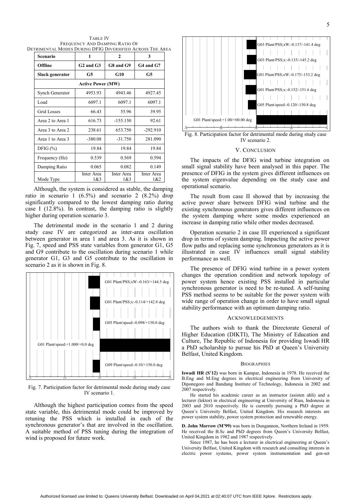TABLE IV FREQUENCY AND DAMPING RATIO OF DETRIMENTAL MODES DURING DFIG DIVERSIFIED ACROSS THE AREA

| Scenario                 | 1                   | $\mathbf{2}$       | 3                                 |  |  |  |
|--------------------------|---------------------|--------------------|-----------------------------------|--|--|--|
| <b>Offline</b>           | $G2$ and $G3$       | G8 and G9          | G <sub>4</sub> and G <sub>7</sub> |  |  |  |
| Slack generator          | G5                  | G10                | G5                                |  |  |  |
| <b>Active Power (MW)</b> |                     |                    |                                   |  |  |  |
| Synch Generator          | 4953.93             | 4943.46            | 4927.45                           |  |  |  |
| Load                     | 6097.1              | 6097.1             | 6097.1                            |  |  |  |
| <b>Grid Losses</b>       | 66.43               | 55.96              | 39.95                             |  |  |  |
| Area 2 to Area 1         | 616.73              | $-155.150$         | 92.61                             |  |  |  |
| Area 3 to Area 2         | 238.61              | 653.750            | $-292.910$                        |  |  |  |
| Area 1 to Area 3         | $-380.08$           | $-31.750$          | 281.090                           |  |  |  |
| DFIG $(\%)$              | 19.84               | 19.84              | 19.84                             |  |  |  |
| Frequency (Hz)           | 0.539               | 0.569              | 0.594                             |  |  |  |
| Damping Ratio            | 0.065               | 0.082              | 0.149                             |  |  |  |
| Mode Type                | Inter Area<br>1&8.3 | Inter Area<br>1&83 | Inter Area<br>1&2                 |  |  |  |

 Although, the system is considered as stable, the damping ratio in scenario 1 (6.5%) and scenario 2 (8.2%) drop significantly compared to the lowest damping ratio during case I (12.8%). In contrast, the damping ratio is slightly higher during operation scenario 3.

 The detrimental mode in the scenario 1 and 2 during study case IV are categorized as inter-area oscillation between generator in area 1 and area 3. As it is shown in Fig. 7, speed and PSS state variables from generator G1, G5 and G9 contribute to the oscillation during scenario 1 while generator G1, G3 and G5 contribute to the oscillation in scenario 2 as it is shown in Fig. 8.



Fig. 7. Participation factor for detrimental mode during study case IV scenario 1.

Although the highest participation comes from the speed state variable, this detrimental mode could be improved by retuning the PSS which is installed in each of the synchronous generator's that are involved in the oscillation. A suitable method of PSS tuning during the integration of wind is proposed for future work.



Fig. 8. Participation factor for detrimental mode during study case IV scenario 2.

#### V. CONCLUSION

 The impacts of the DFIG wind turbine integration on small signal stability have been analysed in this paper. The presence of DFIG in the system gives different influences on the system eigenvalue depending on the study case and operational scenario.

 The result from case II showed that by increasing the active power share between DFIG wind turbine and the existing synchronous generators gives different influences on the system damping where some modes experienced an increase in damping ratio while other modes decreased.

 Operation scenario 2 in case III experienced a significant drop in terms of system damping. Impacting the active power flow paths and replacing some synchronous generators as it is illustrated in case IV influences small signal stability performance as well.

 The presence of DFIG wind turbine in a power system changes the operation condition and network topology of power system hence existing PSS installed in particular synchronous generator is need to be re-tuned. A self-tuning PSS method seems to be suitable for the power system with wide range of operation change in order to have small signal stability performance with an optimum damping ratio.

#### **ACKNOWLEDGEMENTS**

 The authors wish to thank the Directorate General of Higher Education (DIKTI), The Ministry of Education and Culture, The Republic of Indonesia for providing Iswadi HR a PhD scholarship to pursue his PhD at Queen's University Belfast, United Kingdom.

#### **BIOGRAPHIES**

**Iswadi HR (S'12)** was born in Kampar, Indonesia in 1978. He received the B.Eng and M.Eng degrees in electrical engineering from University of Diponegoro and Bandung Institute of Technology, Indonesia in 2002 and 2007 respectively.

 He started his academic career as an instructor (asisten ahli) and a lecturer (lektor) in electrical engineering at University of Riau, Indonesia in 2003 and 2010 respectively. He is currently pursuing a PhD degree at Queen's University Belfast, United Kingdom. His research interests are power system stability, power system protection and renewable energy.

**D. John Morrow (M'99)** was born in Dungannon, Northern Ireland in 1959. He received the B.Sc and PhD degrees from Queen's University Belfast, United Kingdom in 1982 and 1987 respectively.

Since 1987, he has been a lecturer in electrical engineering at Queen's University Belfast, United Kingdom with research and consulting interests in electric power systems, power system instrumentation and gen-set